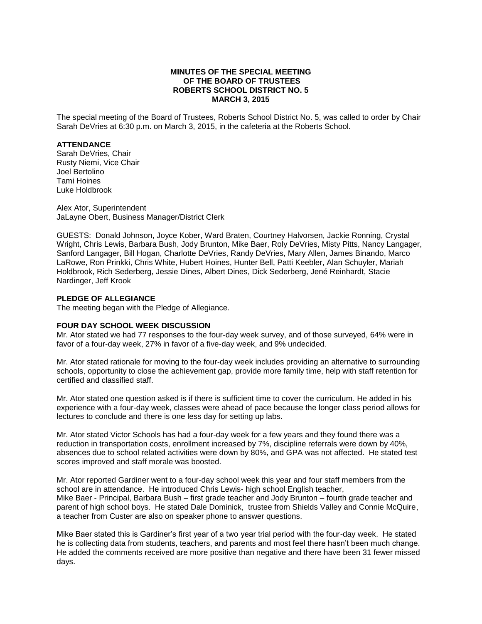# **MINUTES OF THE SPECIAL MEETING OF THE BOARD OF TRUSTEES ROBERTS SCHOOL DISTRICT NO. 5 MARCH 3, 2015**

The special meeting of the Board of Trustees, Roberts School District No. 5, was called to order by Chair Sarah DeVries at 6:30 p.m. on March 3, 2015, in the cafeteria at the Roberts School.

#### **ATTENDANCE**

Sarah DeVries, Chair Rusty Niemi, Vice Chair Joel Bertolino Tami Hoines Luke Holdbrook

Alex Ator, Superintendent JaLayne Obert, Business Manager/District Clerk

GUESTS: Donald Johnson, Joyce Kober, Ward Braten, Courtney Halvorsen, Jackie Ronning, Crystal Wright, Chris Lewis, Barbara Bush, Jody Brunton, Mike Baer, Roly DeVries, Misty Pitts, Nancy Langager, Sanford Langager, Bill Hogan, Charlotte DeVries, Randy DeVries, Mary Allen, James Binando, Marco LaRowe, Ron Prinkki, Chris White, Hubert Hoines, Hunter Bell, Patti Keebler, Alan Schuyler, Mariah Holdbrook, Rich Sederberg, Jessie Dines, Albert Dines, Dick Sederberg, Jené Reinhardt, Stacie Nardinger, Jeff Krook

# **PLEDGE OF ALLEGIANCE**

The meeting began with the Pledge of Allegiance.

#### **FOUR DAY SCHOOL WEEK DISCUSSION**

Mr. Ator stated we had 77 responses to the four-day week survey, and of those surveyed, 64% were in favor of a four-day week, 27% in favor of a five-day week, and 9% undecided.

Mr. Ator stated rationale for moving to the four-day week includes providing an alternative to surrounding schools, opportunity to close the achievement gap, provide more family time, help with staff retention for certified and classified staff.

Mr. Ator stated one question asked is if there is sufficient time to cover the curriculum. He added in his experience with a four-day week, classes were ahead of pace because the longer class period allows for lectures to conclude and there is one less day for setting up labs.

Mr. Ator stated Victor Schools has had a four-day week for a few years and they found there was a reduction in transportation costs, enrollment increased by 7%, discipline referrals were down by 40%, absences due to school related activities were down by 80%, and GPA was not affected. He stated test scores improved and staff morale was boosted.

Mr. Ator reported Gardiner went to a four-day school week this year and four staff members from the school are in attendance. He introduced Chris Lewis- high school English teacher, Mike Baer - Principal, Barbara Bush – first grade teacher and Jody Brunton – fourth grade teacher and parent of high school boys. He stated Dale Dominick, trustee from Shields Valley and Connie McQuire, a teacher from Custer are also on speaker phone to answer questions.

Mike Baer stated this is Gardiner's first year of a two year trial period with the four-day week. He stated he is collecting data from students, teachers, and parents and most feel there hasn't been much change. He added the comments received are more positive than negative and there have been 31 fewer missed days.